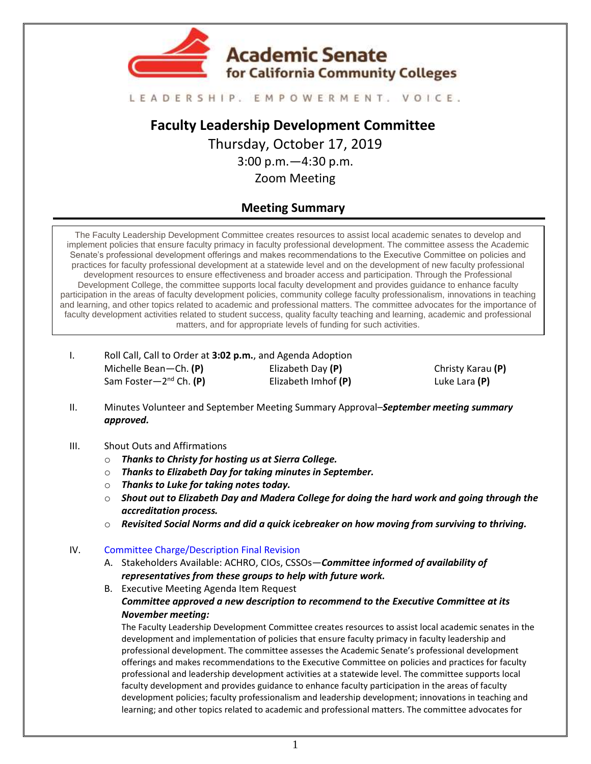

#### LEADERSHIP, EMPOWERMENT, VOICE,

**Faculty Leadership Development Committee** Thursday, October 17, 2019 3:00 p.m.—4:30 p.m. Zoom Meeting

# **Meeting Summary**

The Faculty Leadership Development Committee creates resources to assist local academic senates to develop and implement policies that ensure faculty primacy in faculty professional development. The committee assess the Academic Senate's professional development offerings and makes recommendations to the Executive Committee on policies and practices for faculty professional development at a statewide level and on the development of new faculty professional development resources to ensure effectiveness and broader access and participation. Through the Professional Development College, the committee supports local faculty development and provides guidance to enhance faculty participation in the areas of faculty development policies, community college faculty professionalism, innovations in teaching and learning, and other topics related to academic and professional matters. The committee advocates for the importance of faculty development activities related to student success, quality faculty teaching and learning, academic and professional matters, and for appropriate levels of funding for such activities.

I. Roll Call, Call to Order at **3:02 p.m.**, and Agenda Adoption Michelle Bean—Ch. **(P)** Sam Foster—2 nd Ch. **(P)** Elizabeth Day **(P)** Elizabeth Imhof **(P)**

Christy Karau **(P)** Luke Lara **(P)**

- II. Minutes Volunteer and September Meeting Summary Approval–*September meeting summary approved.*
- III. Shout Outs and Affirmations
	- o *Thanks to Christy for hosting us at Sierra College.*
	- o *Thanks to Elizabeth Day for taking minutes in September.*
	- o *Thanks to Luke for taking notes today.*
	- o *Shout out to Elizabeth Day and Madera College for doing the hard work and going through the accreditation process.*
	- o *Revisited Social Norms and did a quick icebreaker on how moving from surviving to thriving.*

### IV. [Committee Charge/Description Final Revision](https://docs.google.com/document/d/1gKYvq9Enw06vk3KQ52WNocRhQhPq8bVDYgsGFkf_nic/edit?usp=sharing)

- A. Stakeholders Available: ACHRO, CIOs, CSSOs—*Committee informed of availability of representatives from these groups to help with future work.*
- B. Executive Meeting Agenda Item Request *Committee approved a new description to recommend to the Executive Committee at its November meeting:*

The Faculty Leadership Development Committee creates resources to assist local academic senates in the development and implementation of policies that ensure faculty primacy in faculty leadership and professional development. The committee assesses the Academic Senate's professional development offerings and makes recommendations to the Executive Committee on policies and practices for faculty professional and leadership development activities at a statewide level. The committee supports local faculty development and provides guidance to enhance faculty participation in the areas of faculty development policies; faculty professionalism and leadership development; innovations in teaching and learning; and other topics related to academic and professional matters. The committee advocates for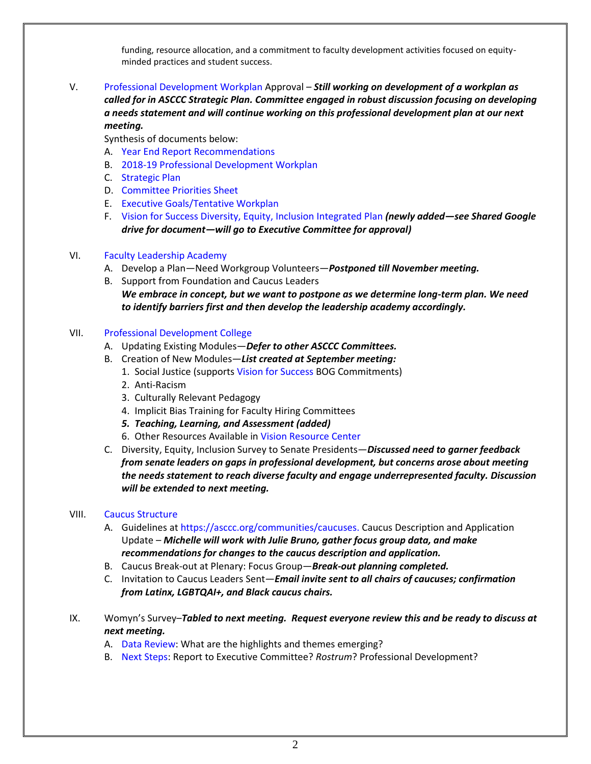funding, resource allocation, and a commitment to faculty development activities focused on equityminded practices and student success.

## V. [Professional Development Workplan](https://drive.google.com/file/d/1PFJhSH0PG-2TZ8qnhnEVIl6Gfn8hoX3X/view?usp=sharing) Approval – *Still working on development of a workplan as called for in ASCCC Strategic Plan. Committee engaged in robust discussion focusing on developing a needs statement and will continue working on this professional development plan at our next meeting.*

Synthesis of documents below:

- A. [Year End Report Recommendations](https://drive.google.com/file/d/1Vz3PzbjdTUEGDEcNcrjdzZX1rN0V6gzD/view?usp=sharing)
- B. [2018-19 Professional Development Workplan](https://drive.google.com/file/d/1CGgeM2omqCYD1xI8k5CWVwUKq0JUGizX/view?usp=sharing)
- C. [Strategic Plan](https://drive.google.com/file/d/1ZhvZqR2x_gsgFSgOqu9P95ZphR-Osi6k/view?usp=sharing)
- D. [Committee Priorities](https://drive.google.com/file/d/16hKfj3C1FDUL0h3eUC9pken2ouIuqOoi/view?usp=sharing) Sheet
- E. [Executive Goals/Tentative Workplan](https://drive.google.com/file/d/14442JiksVZ9bSTQSWjCHtlvOISfGf4bx/view?usp=sharing)
- F. [Vision for Success Diversity, Equity, Inclusion Integrated Plan](https://drive.google.com/file/d/1-Q3N-_L9bHkIXDU5BasojAEs3B64UM3g/view?usp=sharing) *(newly added—see Shared Google drive for document—will go to Executive Committee for approval)*

### VI. [Faculty Leadership Academy](https://drive.google.com/file/d/1L8HtxXj1wLILjUqXF8g12NUXbQvaXBO9/view?usp=sharing)

- A. Develop a Plan—Need Workgroup Volunteers—*Postponed till November meeting.*
- B. Support from Foundation and Caucus Leaders *We embrace in concept, but we want to postpone as we determine long-term plan. We need to identify barriers first and then develop the leadership academy accordingly.*

### VII. [Professional Development College](https://asccc.org/pdc-online-courses)

- A. Updating Existing Modules—*Defer to other ASCCC Committees.*
- B. Creation of New Modules—*List created at September meeting:*
	- 1. Social Justice (support[s Vision for Success](https://drive.google.com/file/d/10MExnkzfZLcoxy0ksOMVLF7x-Kyo_RSS/view?usp=sharing) BOG Commitments)
	- 2. Anti-Racism
	- 3. Culturally Relevant Pedagogy
	- 4. Implicit Bias Training for Faculty Hiring Committees
	- *5. Teaching, Learning, and Assessment (added)*
	- 6. Other Resources Available in [Vision Resource Center](https://visionresourcecenter.cccco.edu/login/)
- C. Diversity, Equity, Inclusion Survey to Senate Presidents—*Discussed need to garner feedback from senate leaders on gaps in professional development, but concerns arose about meeting the needs statement to reach diverse faculty and engage underrepresented faculty. Discussion will be extended to next meeting.*

### VIII. Caucus [Structure](https://drive.google.com/file/d/1NtlFKFWl6KkK2efRqnuYT9cUK_co0avY/view?usp=sharing)

- A. Guidelines at [https://asccc.org/communities/caucuses.](https://asccc.org/communities/caucuses) Caucus Description and Application Update – *Michelle will work with Julie Bruno, gather focus group data, and make recommendations for changes to the caucus description and application.*
- B. Caucus Break-out at Plenary: Focus Group—*Break-out planning completed.*
- C. Invitation to Caucus Leaders Sent—*Email invite sent to all chairs of caucuses; confirmation from Latinx, LGBTQAI+, and Black caucus chairs.*
- IX. Womyn's Survey–*Tabled to next meeting. Request everyone review this and be ready to discuss at next meeting.*
	- A. [Data Review:](https://docs.google.com/document/d/1Z32Wi-Znj2j-4dqLiAiGmiBYkmleiEZbu3SlufyXssc/edit?usp=sharing) What are the highlights and themes emerging?
	- B. [Next Steps:](https://drive.google.com/file/d/1NsWoBunGIivygMFedWLOjeBb_AebN2CW/view?usp=sharing) Report to Executive Committee? *Rostrum*? Professional Development?